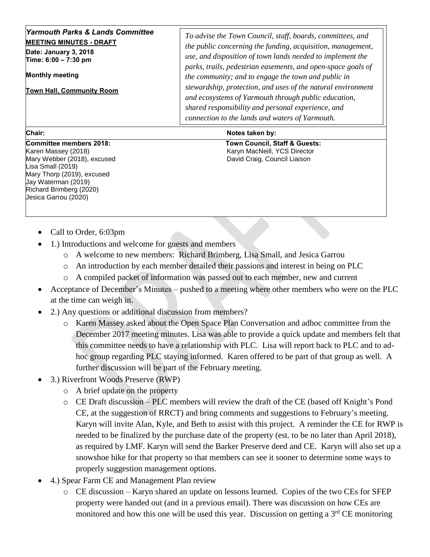| <b>Yarmouth Parks &amp; Lands Committee</b><br><b>MEETING MINUTES - DRAFT</b><br>Date: January 3, 2018<br>Time: 6:00 - 7:30 pm<br><b>Monthly meeting</b><br><b>Town Hall, Community Room</b> | To advise the Town Council, staff, boards, committees, and<br>the public concerning the funding, acquisition, management,<br>use, and disposition of town lands needed to implement the<br>parks, trails, pedestrian easements, and open-space goals of<br>the community; and to engage the town and public in<br>stewardship, protection, and uses of the natural environment<br>and ecosystems of Yarmouth through public education,<br>shared responsibility and personal experience, and |
|----------------------------------------------------------------------------------------------------------------------------------------------------------------------------------------------|----------------------------------------------------------------------------------------------------------------------------------------------------------------------------------------------------------------------------------------------------------------------------------------------------------------------------------------------------------------------------------------------------------------------------------------------------------------------------------------------|
|                                                                                                                                                                                              | connection to the lands and waters of Yarmouth.                                                                                                                                                                                                                                                                                                                                                                                                                                              |

Karen Massey (2018) Karyn MacNeill, YCS Director Mary Webber (2018), excused **David Craig, Council Liaison** David Craig, Council Liaison Lisa Small (2019) Mary Thorp (2019), excused Jay Waterman (2019) Richard Brimberg (2020) Jesica Garrou (2020)

## **Chair:** Notes taken by: Notes taken by:

**Committee members 2018: Town Council, Staff & Guests:** 

- Call to Order, 6:03pm
- 1.) Introductions and welcome for guests and members
	- o A welcome to new members: Richard Brimberg, Lisa Small, and Jesica Garrou
	- o An introduction by each member detailed their passions and interest in being on PLC
	- o A compiled packet of information was passed out to each member, new and current
- Acceptance of December's Minutes pushed to a meeting where other members who were on the PLC at the time can weigh in.
- 2.) Any questions or additional discussion from members?
	- o Karen Massey asked about the Open Space Plan Conversation and adhoc committee from the December 2017 meeting minutes. Lisa was able to provide a quick update and members felt that this committee needs to have a relationship with PLC. Lisa will report back to PLC and to adhoc group regarding PLC staying informed. Karen offered to be part of that group as well. A further discussion will be part of the February meeting.
- 3.) Riverfront Woods Preserve (RWP)
	- o A brief update on the property
	- o CE Draft discussion PLC members will review the draft of the CE (based off Knight's Pond CE, at the suggestion of RRCT) and bring comments and suggestions to February's meeting. Karyn will invite Alan, Kyle, and Beth to assist with this project. A reminder the CE for RWP is needed to be finalized by the purchase date of the property (est. to be no later than April 2018), as required by LMF. Karyn will send the Barker Preserve deed and CE. Karyn will also set up a snowshoe hike for that property so that members can see it sooner to determine some ways to properly suggestion management options.
- 4.) Spear Farm CE and Management Plan review
	- o CE discussion Karyn shared an update on lessons learned. Copies of the two CEs for SFEP property were handed out (and in a previous email). There was discussion on how CEs are monitored and how this one will be used this year. Discussion on getting a  $3<sup>rd</sup>$  CE monitoring